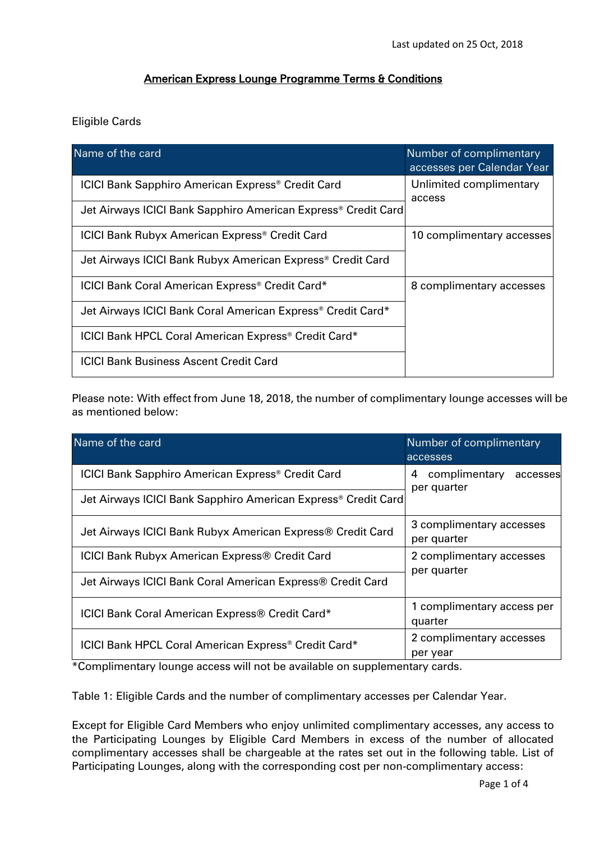## American Express Lounge Programme Terms & Conditions

## Eligible Cards

| Name of the card                                                          | Number of complimentary<br>accesses per Calendar Year |  |  |
|---------------------------------------------------------------------------|-------------------------------------------------------|--|--|
| <b>ICICI Bank Sapphiro American Express<sup>®</sup> Credit Card</b>       | Unlimited complimentary<br>access                     |  |  |
| Jet Airways ICICI Bank Sapphiro American Express <sup>®</sup> Credit Card |                                                       |  |  |
| <b>ICICI Bank Rubyx American Express<sup>®</sup> Credit Card</b>          | 10 complimentary accesses                             |  |  |
| Jet Airways ICICI Bank Rubyx American Express <sup>®</sup> Credit Card    |                                                       |  |  |
| ICICI Bank Coral American Express® Credit Card*                           | 8 complimentary accesses                              |  |  |
| Jet Airways ICICI Bank Coral American Express® Credit Card*               |                                                       |  |  |
| ICICI Bank HPCL Coral American Express <sup>®</sup> Credit Card*          |                                                       |  |  |
| <b>ICICI Bank Business Ascent Credit Card</b>                             |                                                       |  |  |

Please note: With effect from June 18, 2018, the number of complimentary lounge accesses will be as mentioned below:

| Name of the card                                                          | Number of complimentary<br>accesses           |  |  |
|---------------------------------------------------------------------------|-----------------------------------------------|--|--|
| <b>ICICI Bank Sapphiro American Express<sup>®</sup> Credit Card</b>       | complimentary<br>4<br>accesses<br>per quarter |  |  |
| Jet Airways ICICI Bank Sapphiro American Express <sup>®</sup> Credit Card |                                               |  |  |
| Jet Airways ICICI Bank Rubyx American Express® Credit Card                | 3 complimentary accesses<br>per quarter       |  |  |
| <b>ICICI Bank Rubyx American Express® Credit Card</b>                     | 2 complimentary accesses<br>per quarter       |  |  |
| Jet Airways ICICI Bank Coral American Express® Credit Card                |                                               |  |  |
| ICICI Bank Coral American Express® Credit Card*                           | 1 complimentary access per<br>quarter         |  |  |
| ICICI Bank HPCL Coral American Express® Credit Card*                      | 2 complimentary accesses<br>per year          |  |  |

\*Complimentary lounge access will not be available on supplementary cards.

Table 1: Eligible Cards and the number of complimentary accesses per Calendar Year.

Except for Eligible Card Members who enjoy unlimited complimentary accesses, any access to the Participating Lounges by Eligible Card Members in excess of the number of allocated complimentary accesses shall be chargeable at the rates set out in the following table. List of Participating Lounges, along with the corresponding cost per non-complimentary access: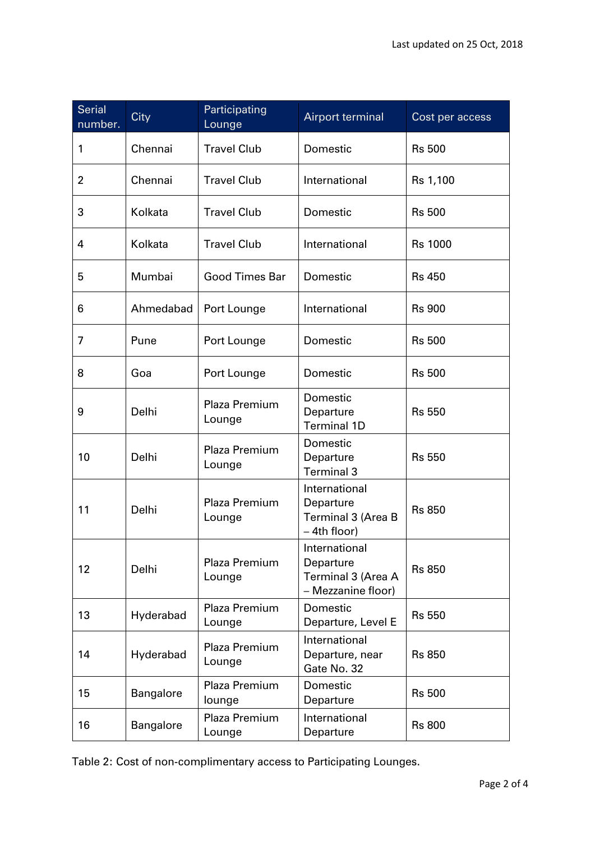| <b>Serial</b><br>number. | City             | Participating<br>Lounge | <b>Airport terminal</b>                                                   | Cost per access |
|--------------------------|------------------|-------------------------|---------------------------------------------------------------------------|-----------------|
| 1                        | Chennai          | <b>Travel Club</b>      | Domestic                                                                  | <b>Rs 500</b>   |
| $\overline{2}$           | Chennai          | <b>Travel Club</b>      | International                                                             | Rs 1,100        |
| 3                        | Kolkata          | <b>Travel Club</b>      | Domestic                                                                  | <b>Rs 500</b>   |
| 4                        | Kolkata          | <b>Travel Club</b>      | International                                                             | <b>Rs 1000</b>  |
| 5                        | Mumbai           | <b>Good Times Bar</b>   | Domestic                                                                  | <b>Rs 450</b>   |
| 6                        | Ahmedabad        | Port Lounge             | International                                                             | <b>Rs 900</b>   |
| 7                        | Pune             | Port Lounge             | Domestic                                                                  | <b>Rs 500</b>   |
| 8                        | Goa              | Port Lounge             | Domestic                                                                  | <b>Rs 500</b>   |
| 9                        | Delhi            | Plaza Premium<br>Lounge | Domestic<br>Departure<br><b>Terminal 1D</b>                               | <b>Rs 550</b>   |
| 10                       | Delhi            | Plaza Premium<br>Lounge | Domestic<br>Departure<br><b>Terminal 3</b>                                | <b>Rs 550</b>   |
| 11                       | Delhi            | Plaza Premium<br>Lounge | International<br>Departure<br><b>Terminal 3 (Area B</b><br>$-$ 4th floor) | <b>Rs 850</b>   |
| 12                       | Delhi            | Plaza Premium<br>Lounge | International<br>Departure<br>Terminal 3 (Area A<br>- Mezzanine floor)    | <b>Rs 850</b>   |
| 13                       | Hyderabad        | Plaza Premium<br>Lounge | Domestic<br>Departure, Level E                                            | <b>Rs 550</b>   |
| 14                       | Hyderabad        | Plaza Premium<br>Lounge | International<br>Departure, near<br>Gate No. 32                           | <b>Rs 850</b>   |
| 15                       | Bangalore        | Plaza Premium<br>lounge | Domestic<br>Departure                                                     | <b>Rs 500</b>   |
| 16                       | <b>Bangalore</b> | Plaza Premium<br>Lounge | International<br>Departure                                                | <b>Rs 800</b>   |

Table 2: Cost of non-complimentary access to Participating Lounges.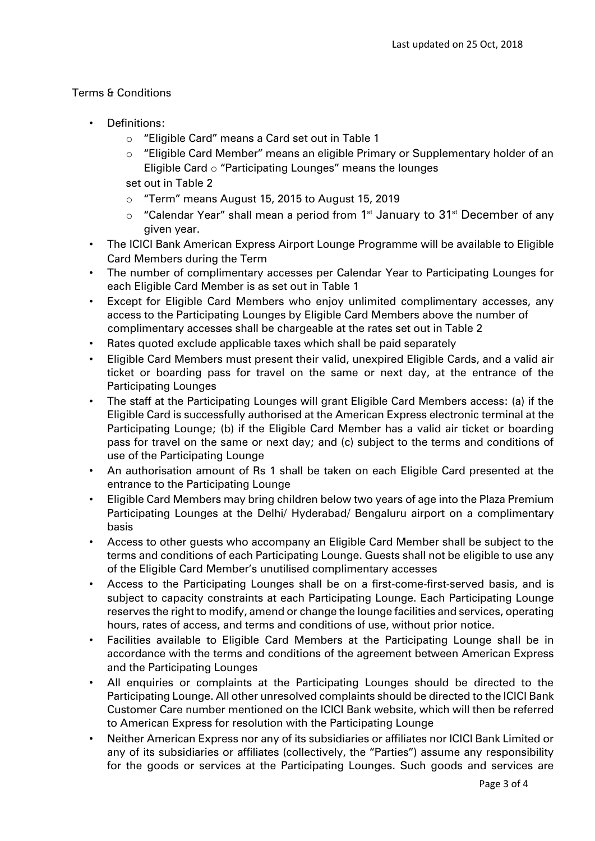## Terms & Conditions

- Definitions:
	- o "Eligible Card" means a Card set out in Table 1
	- $\circ$  "Eligible Card Member" means an eligible Primary or Supplementary holder of an Eligible Card o "Participating Lounges" means the lounges
	- set out in Table 2
	- o "Term" means August 15, 2015 to August 15, 2019
	- $\circ$  "Calendar Year" shall mean a period from 1<sup>st</sup> January to 31<sup>st</sup> December of any given year.
- The ICICI Bank American Express Airport Lounge Programme will be available to Eligible Card Members during the Term
- The number of complimentary accesses per Calendar Year to Participating Lounges for each Eligible Card Member is as set out in Table 1
- Except for Eligible Card Members who enjoy unlimited complimentary accesses, any access to the Participating Lounges by Eligible Card Members above the number of complimentary accesses shall be chargeable at the rates set out in Table 2
- Rates quoted exclude applicable taxes which shall be paid separately
- Eligible Card Members must present their valid, unexpired Eligible Cards, and a valid air ticket or boarding pass for travel on the same or next day, at the entrance of the Participating Lounges
- The staff at the Participating Lounges will grant Eligible Card Members access: (a) if the Eligible Card is successfully authorised at the American Express electronic terminal at the Participating Lounge; (b) if the Eligible Card Member has a valid air ticket or boarding pass for travel on the same or next day; and (c) subject to the terms and conditions of use of the Participating Lounge
- An authorisation amount of Rs 1 shall be taken on each Eligible Card presented at the entrance to the Participating Lounge
- Eligible Card Members may bring children below two years of age into the Plaza Premium Participating Lounges at the Delhi/ Hyderabad/ Bengaluru airport on a complimentary basis
- Access to other guests who accompany an Eligible Card Member shall be subject to the terms and conditions of each Participating Lounge. Guests shall not be eligible to use any of the Eligible Card Member's unutilised complimentary accesses
- Access to the Participating Lounges shall be on a first-come-first-served basis, and is subject to capacity constraints at each Participating Lounge. Each Participating Lounge reserves the right to modify, amend or change the lounge facilities and services, operating hours, rates of access, and terms and conditions of use, without prior notice.
- Facilities available to Eligible Card Members at the Participating Lounge shall be in accordance with the terms and conditions of the agreement between American Express and the Participating Lounges
- All enquiries or complaints at the Participating Lounges should be directed to the Participating Lounge. All other unresolved complaints should be directed to the ICICI Bank Customer Care number mentioned on the ICICI Bank website, which will then be referred to American Express for resolution with the Participating Lounge
- Neither American Express nor any of its subsidiaries or affiliates nor ICICI Bank Limited or any of its subsidiaries or affiliates (collectively, the "Parties") assume any responsibility for the goods or services at the Participating Lounges. Such goods and services are